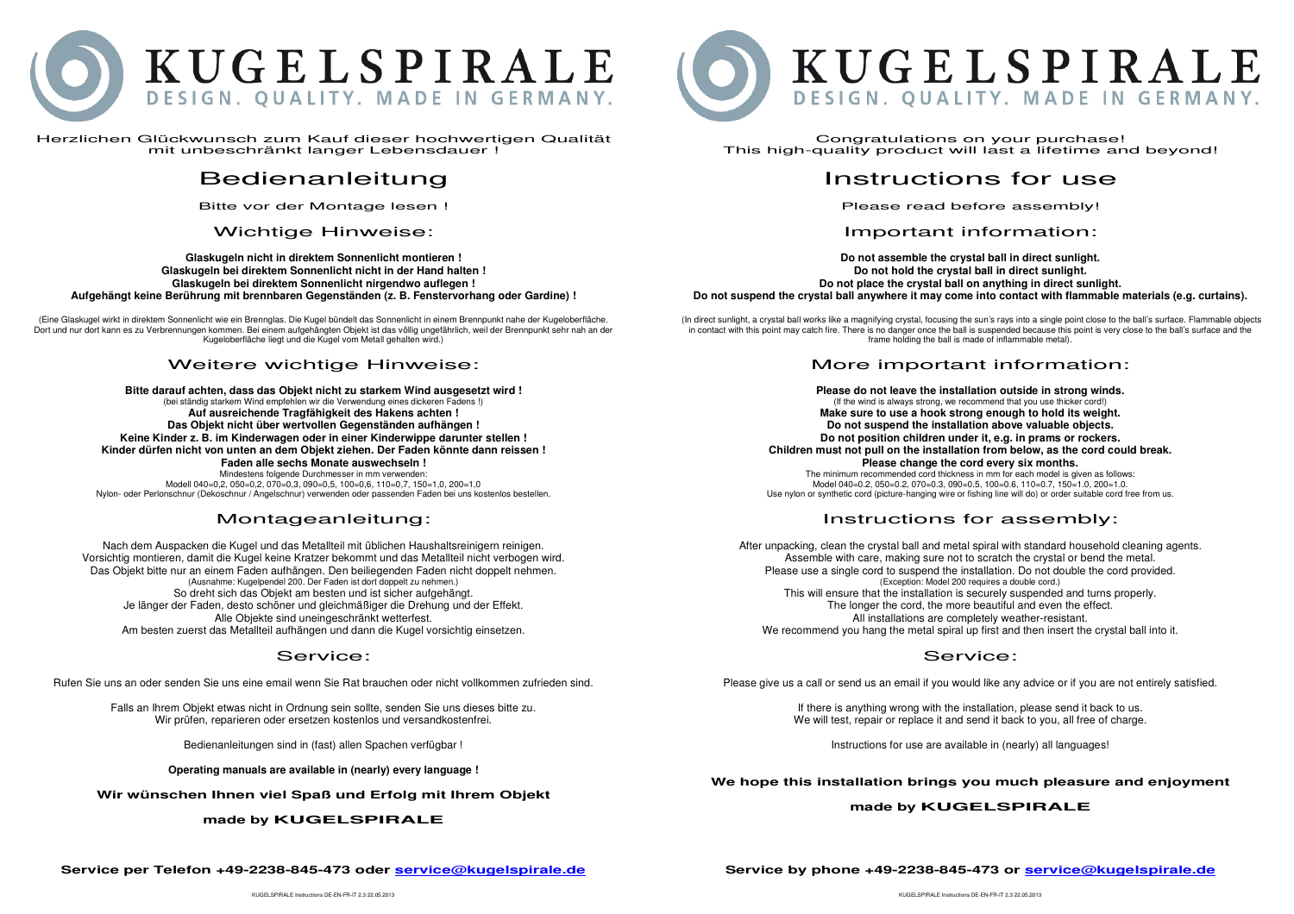

Herzlichen Glückwunsch zum Kauf dieser hochwertigen Qualität mit unbeschränkt langer Lebensdauer !

# Bedienanleitung

Bitte vor der Montage lesen !

#### Wichtige Hinweise:

**Glaskugeln nicht in direktem Sonnenlicht montieren ! Glaskugeln bei direktem Sonnenlicht nicht in der Hand halten ! Glaskugeln bei direktem Sonnenlicht nirgendwo auflegen ! Aufgehängt keine Berührung mit brennbaren Gegenständen (z. B. Fenstervorhang oder Gardine) !** 

(Eine Glaskugel wirkt in direktem Sonnenlicht wie ein Brennglas. Die Kugel bündelt das Sonnenlicht in einem Brennpunkt nahe der Kugeloberfläche. Dort und nur dort kann es zu Verbrennungen kommen. Bei einem aufgehängten Objekt ist das völlig ungefährlich, weil der Brennpunkt sehr nah an der Kugeloberfläche liegt und die Kugel vom Metall gehalten wird.)

#### Weitere wichtige Hinweise:

**Bitte darauf achten, dass das Objekt nicht zu starkem Wind ausgesetzt wird !** (bei ständig starkem Wind empfehlen wir die Verwendung eines dickeren Fadens !)**Auf ausreichende Tragfähigkeit des Hakens achten ! Das Objekt nicht über wertvollen Gegenständen aufhängen ! Keine Kinder z. B. im Kinderwagen oder in einer Kinderwippe darunter stellen ! Kinder dürfen nicht von unten an dem Objekt ziehen. Der Faden könnte dann reissen ! Faden alle sechs Monate auswechseln !** Mindestens folgende Durchmesser in mm verwenden:

 Modell 040=0,2, 050=0,2, 070=0,3, 090=0,5, 100=0,6, 110=0,7, 150=1,0, 200=1,0 Nylon- oder Perlonschnur (Dekoschnur / Angelschnur) verwenden oder passenden Faden bei uns kostenlos bestellen.

## Montageanleitung:

Nach dem Auspacken die Kugel und das Metallteil mit üblichen Haushaltsreinigern reinigen. Vorsichtig montieren, damit die Kugel keine Kratzer bekommt und das Metallteil nicht verbogen wird. Das Objekt bitte nur an einem Faden aufhängen. Den beiliegenden Faden nicht doppelt nehmen. (Ausnahme: Kugelpendel 200. Der Faden ist dort doppelt zu nehmen.) So dreht sich das Objekt am besten und ist sicher aufgehängt. Je länger der Faden, desto schöner und gleichmäßiger die Drehung und der Effekt. Alle Objekte sind uneingeschränkt wetterfest. Am besten zuerst das Metallteil aufhängen und dann die Kugel vorsichtig einsetzen.

#### Service:

Rufen Sie uns an oder senden Sie uns eine email wenn Sie Rat brauchen oder nicht vollkommen zufrieden sind.

Falls an Ihrem Objekt etwas nicht in Ordnung sein sollte, senden Sie uns dieses bitte zu. Wir prüfen, reparieren oder ersetzen kostenlos und versandkostenfrei.

Bedienanleitungen sind in (fast) allen Spachen verfügbar !

**Operating manuals are available in (nearly) every language !** 

**Wir wünschen Ihnen viel Spaß und Erfolg mit Ihrem Objekt** 

#### **made by KUGELSPIRALE**



Congratulations on your purchase! This high-quality product will last a lifetime and beyond!

## Instructions for use

Please read before assembly!

#### Important information:

**Do not assemble the crystal ball in direct sunlight. Do not hold the crystal ball in direct sunlight. Do not place the crystal ball on anything in direct sunlight. Do not suspend the crystal ball anywhere it may come into contact with flammable materials (e.g. curtains).** 

 (In direct sunlight, a crystal ball works like a magnifying crystal, focusing the sun's rays into a single point close to the ball's surface. Flammable objects in contact with this point may catch fire. There is no danger once the ball is suspended because this point is very close to the ball's surface and the frame holding the ball is made of inflammable metal).

#### More important information:

**Please do not leave the installation outside in strong winds.** (If the wind is always strong, we recommend that you use thicker cord!) **Make sure to use a hook strong enough to hold its weight. Do not suspend the installation above valuable objects. Do not position children under it, e.g. in prams or rockers. Children must not pull on the installation from below, as the cord could break. Please change the cord every six months.**  The minimum recommended cord thickness in mm for each model is given as follows: Model 040=0.2, 050=0.2, 070=0.3, 090=0.5, 100=0.6, 110=0.7, 150=1.0, 200=1.0.

Use nylon or synthetic cord (picture-hanging wire or fishing line will do) or order suitable cord free from us.

## Instructions for assembly:

After unpacking, clean the crystal ball and metal spiral with standard household cleaning agents. Assemble with care, making sure not to scratch the crystal or bend the metal. Please use a single cord to suspend the installation. Do not double the cord provided. (Exception: Model 200 requires a double cord.) This will ensure that the installation is securely suspended and turns properly. The longer the cord, the more beautiful and even the effect. All installations are completely weather-resistant.

We recommend you hang the metal spiral up first and then insert the crystal ball into it.

#### Service:

Please give us a call or send us an email if you would like any advice or if you are not entirely satisfied.

If there is anything wrong with the installation, please send it back to us. We will test, repair or replace it and send it back to you, all free of charge.

Instructions for use are available in (nearly) all languages!

**We hope this installation brings you much pleasure and enjoyment** 

#### **made by KUGELSPIRALE**

**Service per Telefon +49-2238-845-473 oder service@kugelspirale.de**

KUGELSPIRALE Instructions DE-EN-ER-IT 2.3 22.05.2013

**Service by phone +49-2238-845-473 or service@kugelspirale.de**